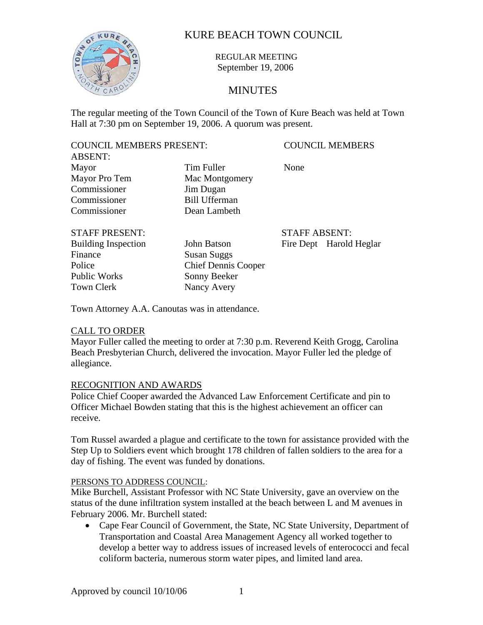

 REGULAR MEETING September 19, 2006

## MINUTES

The regular meeting of the Town Council of the Town of Kure Beach was held at Town Hall at 7:30 pm on September 19, 2006. A quorum was present.

COUNCIL MEMBERS PRESENT: COUNCIL MEMBERS

ABSENT: Commissioner Jim Dugan Commissioner Bill Ufferman Commissioner Dean Lambeth

Mayor Tim Fuller None Mayor Pro Tem Mac Montgomery

Building Inspection John Batson Fire Dept Harold Heglar

STAFF PRESENT: STAFF ABSENT: Finance Susan Suggs Public Works Sonny Beeker Town Clerk Nancy Avery

Police Chief Dennis Cooper

Town Attorney A.A. Canoutas was in attendance.

#### CALL TO ORDER

Mayor Fuller called the meeting to order at 7:30 p.m. Reverend Keith Grogg, Carolina Beach Presbyterian Church, delivered the invocation. Mayor Fuller led the pledge of allegiance.

#### RECOGNITION AND AWARDS

Police Chief Cooper awarded the Advanced Law Enforcement Certificate and pin to Officer Michael Bowden stating that this is the highest achievement an officer can receive.

Tom Russel awarded a plague and certificate to the town for assistance provided with the Step Up to Soldiers event which brought 178 children of fallen soldiers to the area for a day of fishing. The event was funded by donations.

#### PERSONS TO ADDRESS COUNCIL:

Mike Burchell, Assistant Professor with NC State University, gave an overview on the status of the dune infiltration system installed at the beach between L and M avenues in February 2006. Mr. Burchell stated:

• Cape Fear Council of Government, the State, NC State University, Department of Transportation and Coastal Area Management Agency all worked together to develop a better way to address issues of increased levels of enterococci and fecal coliform bacteria, numerous storm water pipes, and limited land area.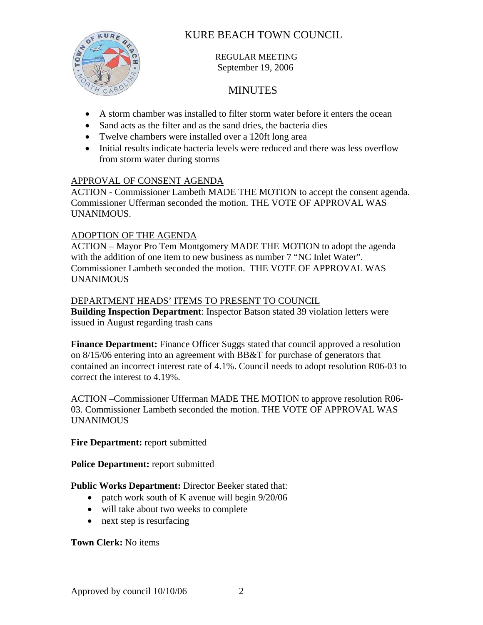

 REGULAR MEETING September 19, 2006

## MINUTES

- A storm chamber was installed to filter storm water before it enters the ocean
- Sand acts as the filter and as the sand dries, the bacteria dies
- Twelve chambers were installed over a 120ft long area
- Initial results indicate bacteria levels were reduced and there was less overflow from storm water during storms

#### APPROVAL OF CONSENT AGENDA

ACTION - Commissioner Lambeth MADE THE MOTION to accept the consent agenda. Commissioner Ufferman seconded the motion. THE VOTE OF APPROVAL WAS **UNANIMOUS.** 

#### ADOPTION OF THE AGENDA

ACTION – Mayor Pro Tem Montgomery MADE THE MOTION to adopt the agenda with the addition of one item to new business as number 7 "NC Inlet Water". Commissioner Lambeth seconded the motion. THE VOTE OF APPROVAL WAS UNANIMOUS

#### DEPARTMENT HEADS' ITEMS TO PRESENT TO COUNCIL

**Building Inspection Department**: Inspector Batson stated 39 violation letters were issued in August regarding trash cans

**Finance Department:** Finance Officer Suggs stated that council approved a resolution on 8/15/06 entering into an agreement with BB&T for purchase of generators that contained an incorrect interest rate of 4.1%. Council needs to adopt resolution R06-03 to correct the interest to 4.19%.

ACTION –Commissioner Ufferman MADE THE MOTION to approve resolution R06- 03. Commissioner Lambeth seconded the motion. THE VOTE OF APPROVAL WAS UNANIMOUS

Fire **Department:** report submitted

#### Police Department: report submitted

#### Public Works Department: Director Beeker stated that:

- patch work south of K avenue will begin  $9/20/06$
- will take about two weeks to complete
- next step is resurfacing

#### **Town Clerk:** No items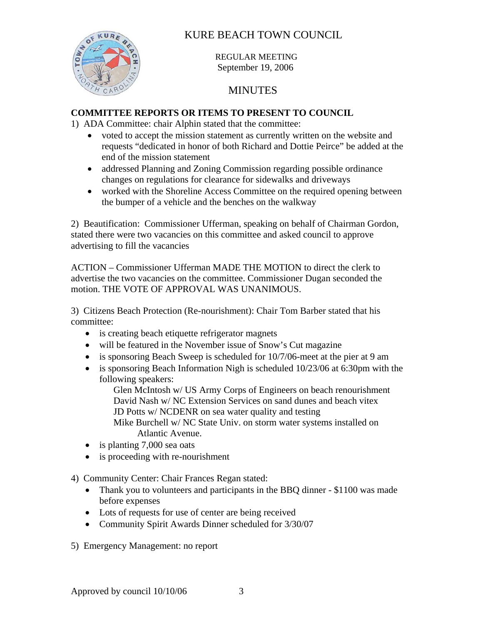

 REGULAR MEETING September 19, 2006

## MINUTES

### **COMMITTEE REPORTS OR ITEMS TO PRESENT TO COUNCIL**

1) ADA Committee: chair Alphin stated that the committee:

- voted to accept the mission statement as currently written on the website and requests "dedicated in honor of both Richard and Dottie Peirce" be added at the end of the mission statement
- addressed Planning and Zoning Commission regarding possible ordinance changes on regulations for clearance for sidewalks and driveways
- worked with the Shoreline Access Committee on the required opening between the bumper of a vehicle and the benches on the walkway

2) Beautification: Commissioner Ufferman, speaking on behalf of Chairman Gordon, stated there were two vacancies on this committee and asked council to approve advertising to fill the vacancies

ACTION – Commissioner Ufferman MADE THE MOTION to direct the clerk to advertise the two vacancies on the committee. Commissioner Dugan seconded the motion. THE VOTE OF APPROVAL WAS UNANIMOUS.

3) Citizens Beach Protection (Re-nourishment): Chair Tom Barber stated that his committee:

- is creating beach etiquette refrigerator magnets
- will be featured in the November issue of Snow's Cut magazine
- is sponsoring Beach Sweep is scheduled for 10/7/06-meet at the pier at 9 am
- is sponsoring Beach Information Nigh is scheduled  $10/23/06$  at 6:30pm with the following speakers:

Glen McIntosh w/ US Army Corps of Engineers on beach renourishment David Nash w/ NC Extension Services on sand dunes and beach vitex JD Potts w/ NCDENR on sea water quality and testing Mike Burchell w/ NC State Univ. on storm water systems installed on

- Atlantic Avenue.
- is planting 7,000 sea oats
- is proceeding with re-nourishment
- 4) Community Center: Chair Frances Regan stated:
	- Thank you to volunteers and participants in the BBQ dinner \$1100 was made before expenses
	- Lots of requests for use of center are being received
	- Community Spirit Awards Dinner scheduled for 3/30/07
- 5) Emergency Management: no report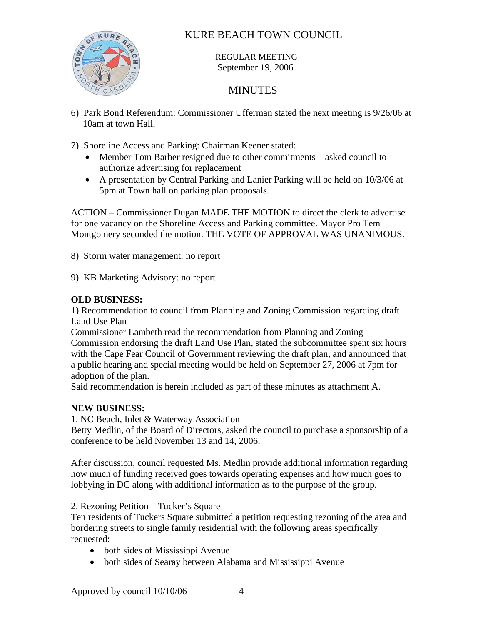

 REGULAR MEETING September 19, 2006

## MINUTES

- 6) Park Bond Referendum: Commissioner Ufferman stated the next meeting is 9/26/06 at 10am at town Hall.
- 7) Shoreline Access and Parking: Chairman Keener stated:
	- Member Tom Barber resigned due to other commitments asked council to authorize advertising for replacement
	- A presentation by Central Parking and Lanier Parking will be held on 10/3/06 at 5pm at Town hall on parking plan proposals.

ACTION – Commissioner Dugan MADE THE MOTION to direct the clerk to advertise for one vacancy on the Shoreline Access and Parking committee. Mayor Pro Tem Montgomery seconded the motion. THE VOTE OF APPROVAL WAS UNANIMOUS.

- 8) Storm water management: no report
- 9) KB Marketing Advisory: no report

#### **OLD BUSINESS:**

1) Recommendation to council from Planning and Zoning Commission regarding draft Land Use Plan

Commissioner Lambeth read the recommendation from Planning and Zoning Commission endorsing the draft Land Use Plan, stated the subcommittee spent six hours with the Cape Fear Council of Government reviewing the draft plan, and announced that a public hearing and special meeting would be held on September 27, 2006 at 7pm for adoption of the plan.

Said recommendation is herein included as part of these minutes as attachment A.

#### **NEW BUSINESS:**

1. NC Beach, Inlet & Waterway Association

Betty Medlin, of the Board of Directors, asked the council to purchase a sponsorship of a conference to be held November 13 and 14, 2006.

After discussion, council requested Ms. Medlin provide additional information regarding how much of funding received goes towards operating expenses and how much goes to lobbying in DC along with additional information as to the purpose of the group.

#### 2. Rezoning Petition – Tucker's Square

Ten residents of Tuckers Square submitted a petition requesting rezoning of the area and bordering streets to single family residential with the following areas specifically requested:

- both sides of Mississippi Avenue
- both sides of Searay between Alabama and Mississippi Avenue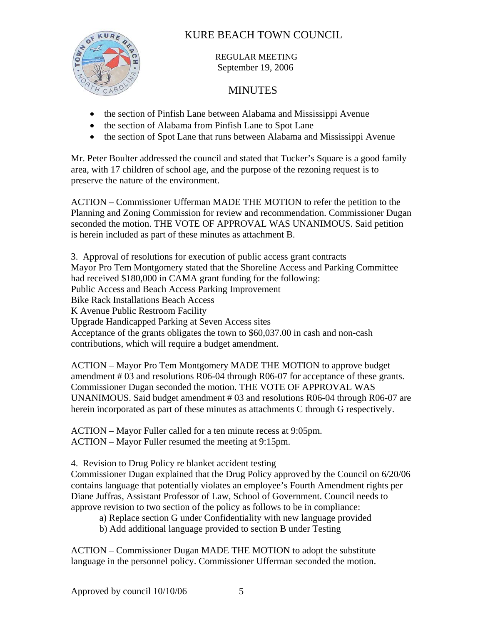

 REGULAR MEETING September 19, 2006

## MINUTES

- the section of Pinfish Lane between Alabama and Mississippi Avenue
- the section of Alabama from Pinfish Lane to Spot Lane
- the section of Spot Lane that runs between Alabama and Mississippi Avenue

Mr. Peter Boulter addressed the council and stated that Tucker's Square is a good family area, with 17 children of school age, and the purpose of the rezoning request is to preserve the nature of the environment.

ACTION – Commissioner Ufferman MADE THE MOTION to refer the petition to the Planning and Zoning Commission for review and recommendation. Commissioner Dugan seconded the motion. THE VOTE OF APPROVAL WAS UNANIMOUS. Said petition is herein included as part of these minutes as attachment B.

3. Approval of resolutions for execution of public access grant contracts Mayor Pro Tem Montgomery stated that the Shoreline Access and Parking Committee had received \$180,000 in CAMA grant funding for the following: Public Access and Beach Access Parking Improvement Bike Rack Installations Beach Access K Avenue Public Restroom Facility Upgrade Handicapped Parking at Seven Access sites Acceptance of the grants obligates the town to \$60,037.00 in cash and non-cash contributions, which will require a budget amendment.

ACTION – Mayor Pro Tem Montgomery MADE THE MOTION to approve budget amendment # 03 and resolutions R06-04 through R06-07 for acceptance of these grants. Commissioner Dugan seconded the motion. THE VOTE OF APPROVAL WAS UNANIMOUS. Said budget amendment # 03 and resolutions R06-04 through R06-07 are herein incorporated as part of these minutes as attachments C through G respectively.

ACTION – Mayor Fuller called for a ten minute recess at 9:05pm. ACTION – Mayor Fuller resumed the meeting at 9:15pm.

4. Revision to Drug Policy re blanket accident testing

Commissioner Dugan explained that the Drug Policy approved by the Council on 6/20/06 contains language that potentially violates an employee's Fourth Amendment rights per Diane Juffras, Assistant Professor of Law, School of Government. Council needs to approve revision to two section of the policy as follows to be in compliance:

a) Replace section G under Confidentiality with new language provided

b) Add additional language provided to section B under Testing

ACTION – Commissioner Dugan MADE THE MOTION to adopt the substitute language in the personnel policy. Commissioner Ufferman seconded the motion.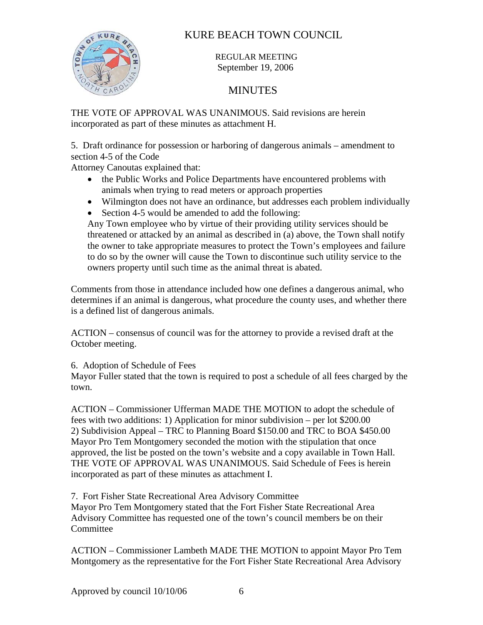

 REGULAR MEETING September 19, 2006

## MINUTES

THE VOTE OF APPROVAL WAS UNANIMOUS. Said revisions are herein incorporated as part of these minutes as attachment H.

5. Draft ordinance for possession or harboring of dangerous animals – amendment to section 4-5 of the Code

Attorney Canoutas explained that:

- the Public Works and Police Departments have encountered problems with animals when trying to read meters or approach properties
- Wilmington does not have an ordinance, but addresses each problem individually
- Section 4-5 would be amended to add the following:

Any Town employee who by virtue of their providing utility services should be threatened or attacked by an animal as described in (a) above, the Town shall notify the owner to take appropriate measures to protect the Town's employees and failure to do so by the owner will cause the Town to discontinue such utility service to the owners property until such time as the animal threat is abated.

Comments from those in attendance included how one defines a dangerous animal, who determines if an animal is dangerous, what procedure the county uses, and whether there is a defined list of dangerous animals.

ACTION – consensus of council was for the attorney to provide a revised draft at the October meeting.

#### 6. Adoption of Schedule of Fees

Mayor Fuller stated that the town is required to post a schedule of all fees charged by the town.

ACTION – Commissioner Ufferman MADE THE MOTION to adopt the schedule of fees with two additions: 1) Application for minor subdivision – per lot \$200.00 2) Subdivision Appeal – TRC to Planning Board \$150.00 and TRC to BOA \$450.00 Mayor Pro Tem Montgomery seconded the motion with the stipulation that once approved, the list be posted on the town's website and a copy available in Town Hall. THE VOTE OF APPROVAL WAS UNANIMOUS. Said Schedule of Fees is herein incorporated as part of these minutes as attachment I.

7. Fort Fisher State Recreational Area Advisory Committee

Mayor Pro Tem Montgomery stated that the Fort Fisher State Recreational Area Advisory Committee has requested one of the town's council members be on their Committee

ACTION – Commissioner Lambeth MADE THE MOTION to appoint Mayor Pro Tem Montgomery as the representative for the Fort Fisher State Recreational Area Advisory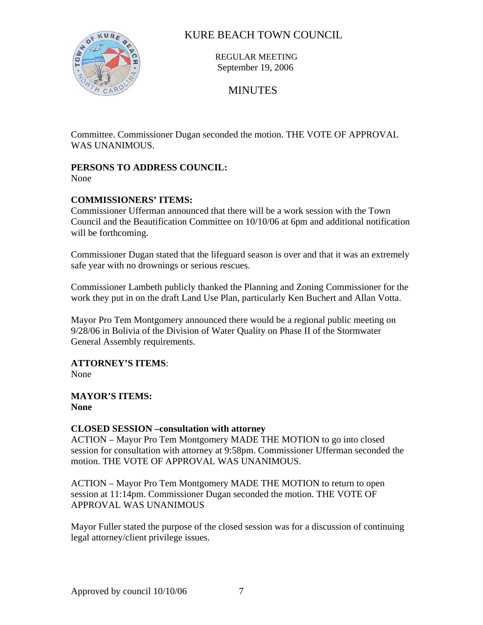

 REGULAR MEETING September 19, 2006

## MINUTES

Committee. Commissioner Dugan seconded the motion. THE VOTE OF APPROVAL WAS UNANIMOUS.

# **PERSONS TO ADDRESS COUNCIL:**

None

#### **COMMISSIONERS' ITEMS:**

Commissioner Ufferman announced that there will be a work session with the Town Council and the Beautification Committee on 10/10/06 at 6pm and additional notification will be forthcoming.

Commissioner Dugan stated that the lifeguard season is over and that it was an extremely safe year with no drownings or serious rescues.

Commissioner Lambeth publicly thanked the Planning and Zoning Commissioner for the work they put in on the draft Land Use Plan, particularly Ken Buchert and Allan Votta.

Mayor Pro Tem Montgomery announced there would be a regional public meeting on 9/28/06 in Bolivia of the Division of Water Quality on Phase II of the Stormwater General Assembly requirements.

#### **ATTORNEY'S ITEMS**:

None

**MAYOR'S ITEMS: None** 

#### **CLOSED SESSION –consultation with attorney**

ACTION – Mayor Pro Tem Montgomery MADE THE MOTION to go into closed session for consultation with attorney at 9:58pm. Commissioner Ufferman seconded the motion. THE VOTE OF APPROVAL WAS UNANIMOUS.

ACTION – Mayor Pro Tem Montgomery MADE THE MOTION to return to open session at 11:14pm. Commissioner Dugan seconded the motion. THE VOTE OF APPROVAL WAS UNANIMOUS

Mayor Fuller stated the purpose of the closed session was for a discussion of continuing legal attorney/client privilege issues.